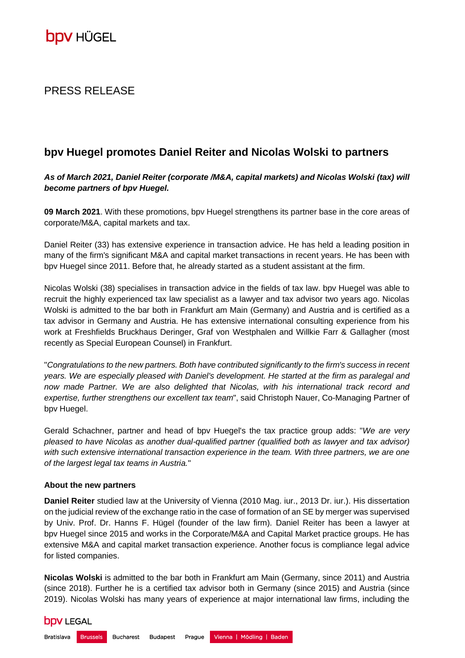### PRESS RELEASE

## **bpv Huegel promotes Daniel Reiter and Nicolas Wolski to partners**

*As of March 2021, Daniel Reiter (corporate /M&A, capital markets) and Nicolas Wolski (tax) will become partners of bpv Huegel.*

**09 March 2021**. With these promotions, bpv Huegel strengthens its partner base in the core areas of corporate/M&A, capital markets and tax.

Daniel Reiter (33) has extensive experience in transaction advice. He has held a leading position in many of the firm's significant M&A and capital market transactions in recent years. He has been with bpv Huegel since 2011. Before that, he already started as a student assistant at the firm.

Nicolas Wolski (38) specialises in transaction advice in the fields of tax law. bpv Huegel was able to recruit the highly experienced tax law specialist as a lawyer and tax advisor two years ago. Nicolas Wolski is admitted to the bar both in Frankfurt am Main (Germany) and Austria and is certified as a tax advisor in Germany and Austria. He has extensive international consulting experience from his work at Freshfields Bruckhaus Deringer, Graf von Westphalen and Willkie Farr & Gallagher (most recently as Special European Counsel) in Frankfurt.

"*Congratulations to the new partners. Both have contributed significantly to the firm's success in recent years. We are especially pleased with Daniel's development. He started at the firm as paralegal and now made Partner. We are also delighted that Nicolas, with his international track record and expertise, further strengthens our excellent tax team*", said Christoph Nauer, Co-Managing Partner of bpv Huegel.

Gerald Schachner, partner and head of bpv Huegel's the tax practice group adds: "*We are very pleased to have Nicolas as another dual-qualified partner (qualified both as lawyer and tax advisor)*  with such extensive international transaction experience in the team. With three partners, we are one *of the largest legal tax teams in Austria.*"

### **About the new partners**

**Daniel Reiter** studied law at the University of Vienna (2010 Mag. iur., 2013 Dr. iur.). His dissertation on the judicial review of the exchange ratio in the case of formation of an SE by merger was supervised by Univ. Prof. Dr. Hanns F. Hügel (founder of the law firm). Daniel Reiter has been a lawyer at bpv Huegel since 2015 and works in the Corporate/M&A and Capital Market practice groups. He has extensive M&A and capital market transaction experience. Another focus is compliance legal advice for listed companies.

**Nicolas Wolski** is admitted to the bar both in Frankfurt am Main (Germany, since 2011) and Austria (since 2018). Further he is a certified tax advisor both in Germany (since 2015) and Austria (since 2019). Nicolas Wolski has many years of experience at major international law firms, including the

# **DDV LEGAL**

Bratislava Brussels Bucharest Vienna | Mödling | Baden **Budapest** Prague